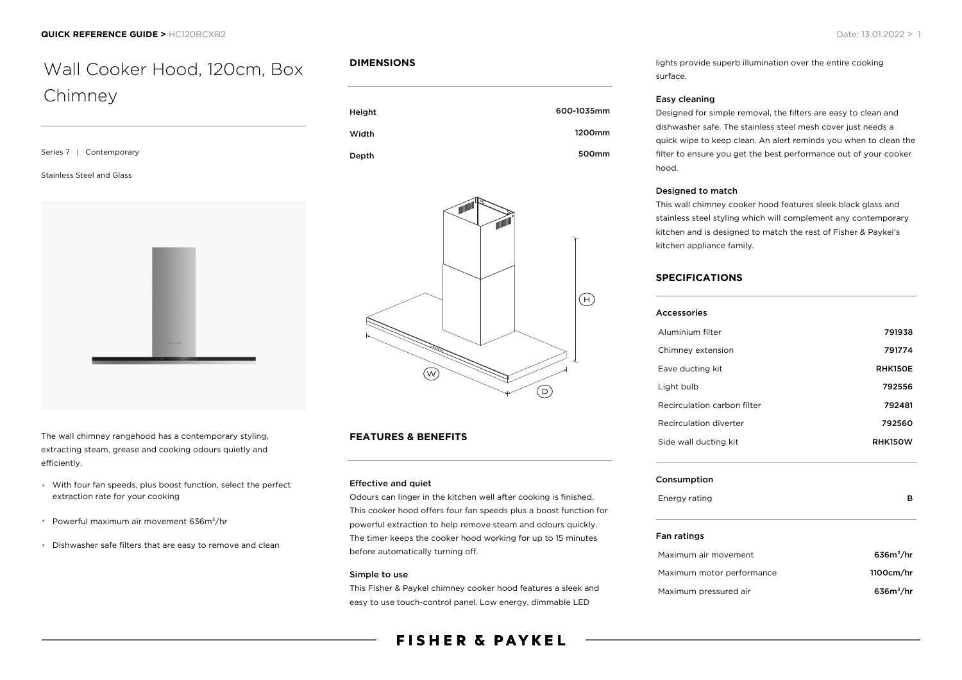# Wall Cooker Hood, 120cm, Box Chimney

| Series 7   Contemporary   |  |  |
|---------------------------|--|--|
| Stainless Steel and Glass |  |  |
|                           |  |  |



The wall chimney rangehood has a contemporary styling, extracting steam, grease and cooking odours quietly and efficiently.

- With four fan speeds, plus boost function, select the perfect extraction rate for your cooking
- \* Powerful maximum air movement 636m<sup>3</sup>/hr
- Dishwasher safe filters that are easy to remove and clean

### **DIMENSIONS**

| Height | 600-1035mm |
|--------|------------|
| Width  | 1200mm     |
| Depth  | 500mm      |



## **FEATURES & BENEFITS**

#### Effective and quiet

Odours can linger in the kitchen well after cooking is finished. This cooker hood offers four fan speeds plus a boost function for powerful extraction to help remove steam and odours quickly. The timer keeps the cooker hood working for up to 15 minutes before automatically turning off.

#### Simple to use

This Fisher & Paykel chimney cooker hood features a sleek and easy to use touch-control panel. Low energy, dimmable LED

# **FISHER & PAYKEL**

lights provide superb illumination over the entire cooking surface.

#### Easy cleaning

Designed for simple removal, the filters are easy to clean and dishwasher safe. The stainless steel mesh cover just needs a quick wipe to keep clean. An alert reminds you when to clean the filter to ensure you get the best performance out of your cooker hood.

#### Designed to match

This wall chimney cooker hood features sleek black glass and stainless steel styling which will complement any contemporary kitchen and is designed to match the rest of Fisher & Paykel's kitchen appliance family.

## **SPECIFICATIONS**

| Accessories |  |
|-------------|--|
|             |  |

| Aluminium filter            | 791938         |
|-----------------------------|----------------|
| Chimney extension           | 791774         |
| Eave ducting kit            | <b>RHK150E</b> |
| Light bulb                  | 792556         |
| Recirculation carbon filter | 792481         |
| Recirculation diverter      | 792560         |
| Side wall ducting kit       | <b>RHK150W</b> |
|                             |                |

#### Consumption

#### Fan ratings

| Maximum air movement      | $636m^3/hr$ |
|---------------------------|-------------|
| Maximum motor performance | 1100cm/hr   |
| Maximum pressured air     | $636m^3/hr$ |